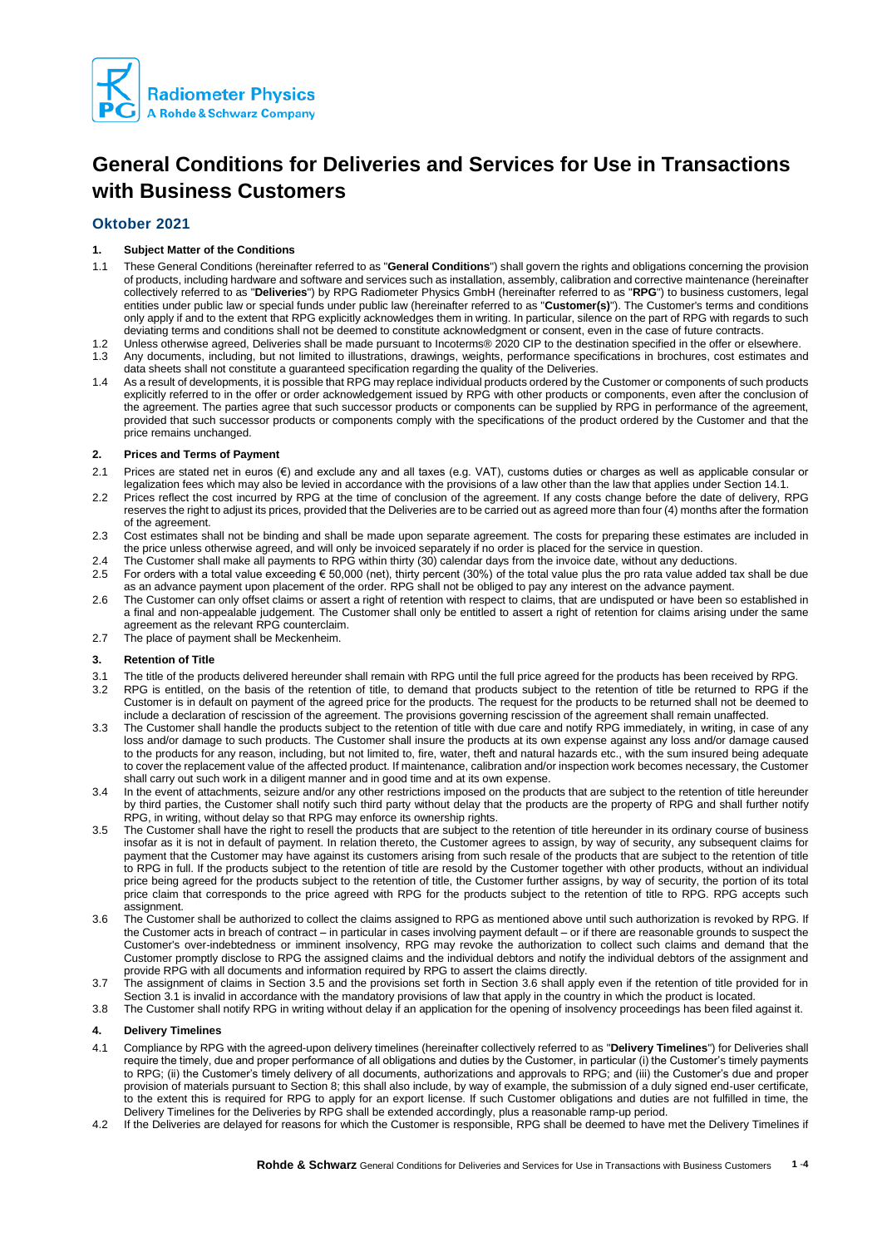

# **General Conditions for Deliveries and Services for Use in Transactions with Business Customers**

# **Oktober 2021**

# **1. Subject Matter of the Conditions**

- 1.1 These General Conditions (hereinafter referred to as "**General Conditions**") shall govern the rights and obligations concerning the provision of products, including hardware and software and services such as installation, assembly, calibration and corrective maintenance (hereinafter collectively referred to as "**Deliveries**") by RPG Radiometer Physics GmbH (hereinafter referred to as "**RPG**") to business customers, legal entities under public law or special funds under public law (hereinafter referred to as "**Customer(s)**"). The Customer's terms and conditions only apply if and to the extent that RPG explicitly acknowledges them in writing. In particular, silence on the part of RPG with regards to such deviating terms and conditions shall not be deemed to constitute acknowledgment or consent, even in the case of future contracts.
- 1.2 Unless otherwise agreed, Deliveries shall be made pursuant to Incoterms® 2020 CIP to the destination specified in the offer or elsewhere.
- 1.3 Any documents, including, but not limited to illustrations, drawings, weights, performance specifications in brochures, cost estimates and data sheets shall not constitute a guaranteed specification regarding the quality of the Deliveries.
- 1.4 As a result of developments, it is possible that RPG may replace individual products ordered by the Customer or components of such products explicitly referred to in the offer or order acknowledgement issued by RPG with other products or components, even after the conclusion of the agreement. The parties agree that such successor products or components can be supplied by RPG in performance of the agreement, provided that such successor products or components comply with the specifications of the product ordered by the Customer and that the price remains unchanged.

#### **2. Prices and Terms of Payment**

- 2.1 Prices are stated net in euros (€) and exclude any and all taxes (e.g. VAT), customs duties or charges as well as applicable consular or legalization fees which may also be levied in accordance with the provisions of a law other than the law that applies under Section 14.1.
- 2.2 Prices reflect the cost incurred by RPG at the time of conclusion of the agreement. If any costs change before the date of delivery, RPG reserves the right to adjust its prices, provided that the Deliveries are to be carried out as agreed more than four (4) months after the formation of the agreement.
- 2.3 Cost estimates shall not be binding and shall be made upon separate agreement. The costs for preparing these estimates are included in the price unless otherwise agreed, and will only be invoiced separately if no order is placed for the service in question.
- 2.4 The Customer shall make all payments to RPG within thirty (30) calendar days from the invoice date, without any deductions.
- 2.5 For orders with a total value exceeding € 50,000 (net), thirty percent (30%) of the total value plus the pro rata value added tax shall be due as an advance payment upon placement of the order. RPG shall not be obliged to pay any interest on the advance payment.
- 2.6 The Customer can only offset claims or assert a right of retention with respect to claims, that are undisputed or have been so established in a final and non-appealable judgement. The Customer shall only be entitled to assert a right of retention for claims arising under the same agreement as the relevant RPG counterclaim.
- 2.7 The place of payment shall be Meckenheim.

# **3. Retention of Title**

- 3.1 The title of the products delivered hereunder shall remain with RPG until the full price agreed for the products has been received by RPG.
- RPG is entitled, on the basis of the retention of title, to demand that products subject to the retention of title be returned to RPG if the Customer is in default on payment of the agreed price for the products. The request for the products to be returned shall not be deemed to include a declaration of rescission of the agreement. The provisions governing rescission of the agreement shall remain unaffected.
- 3.3 The Customer shall handle the products subject to the retention of title with due care and notify RPG immediately, in writing, in case of any loss and/or damage to such products. The Customer shall insure the products at its own expense against any loss and/or damage caused to the products for any reason, including, but not limited to, fire, water, theft and natural hazards etc., with the sum insured being adequate to cover the replacement value of the affected product. If maintenance, calibration and/or inspection work becomes necessary, the Customer shall carry out such work in a diligent manner and in good time and at its own expense.
- 3.4 In the event of attachments, seizure and/or any other restrictions imposed on the products that are subject to the retention of title hereunder by third parties, the Customer shall notify such third party without delay that the products are the property of RPG and shall further notify RPG, in writing, without delay so that RPG may enforce its ownership rights.
- 3.5 The Customer shall have the right to resell the products that are subject to the retention of title hereunder in its ordinary course of business insofar as it is not in default of payment. In relation thereto, the Customer agrees to assign, by way of security, any subsequent claims for payment that the Customer may have against its customers arising from such resale of the products that are subject to the retention of title to RPG in full. If the products subject to the retention of title are resold by the Customer together with other products, without an individual price being agreed for the products subject to the retention of title, the Customer further assigns, by way of security, the portion of its total price claim that corresponds to the price agreed with RPG for the products subject to the retention of title to RPG. RPG accepts such assignment.
- 3.6 The Customer shall be authorized to collect the claims assigned to RPG as mentioned above until such authorization is revoked by RPG. If the Customer acts in breach of contract – in particular in cases involving payment default – or if there are reasonable grounds to suspect the Customer's over-indebtedness or imminent insolvency, RPG may revoke the authorization to collect such claims and demand that the Customer promptly disclose to RPG the assigned claims and the individual debtors and notify the individual debtors of the assignment and provide RPG with all documents and information required by RPG to assert the claims directly.
- 3.7 The assignment of claims in Section 3.5 and the provisions set forth in Section 3.6 shall apply even if the retention of title provided for in Section 3.1 is invalid in accordance with the mandatory provisions of law that apply in the country in which the product is located.
- 3.8 The Customer shall notify RPG in writing without delay if an application for the opening of insolvency proceedings has been filed against it.

# **4. Delivery Timelines**

- 4.1 Compliance by RPG with the agreed-upon delivery timelines (hereinafter collectively referred to as "**Delivery Timelines**") for Deliveries shall require the timely, due and proper performance of all obligations and duties by the Customer, in particular (i) the Customer's timely payments to RPG; (ii) the Customer's timely delivery of all documents, authorizations and approvals to RPG; and (iii) the Customer's due and proper provision of materials pursuant to Section 8; this shall also include, by way of example, the submission of a duly signed end-user certificate, to the extent this is required for RPG to apply for an export license. If such Customer obligations and duties are not fulfilled in time, the Delivery Timelines for the Deliveries by RPG shall be extended accordingly, plus a reasonable ramp-up period.
- 4.2 If the Deliveries are delayed for reasons for which the Customer is responsible, RPG shall be deemed to have met the Delivery Timelines if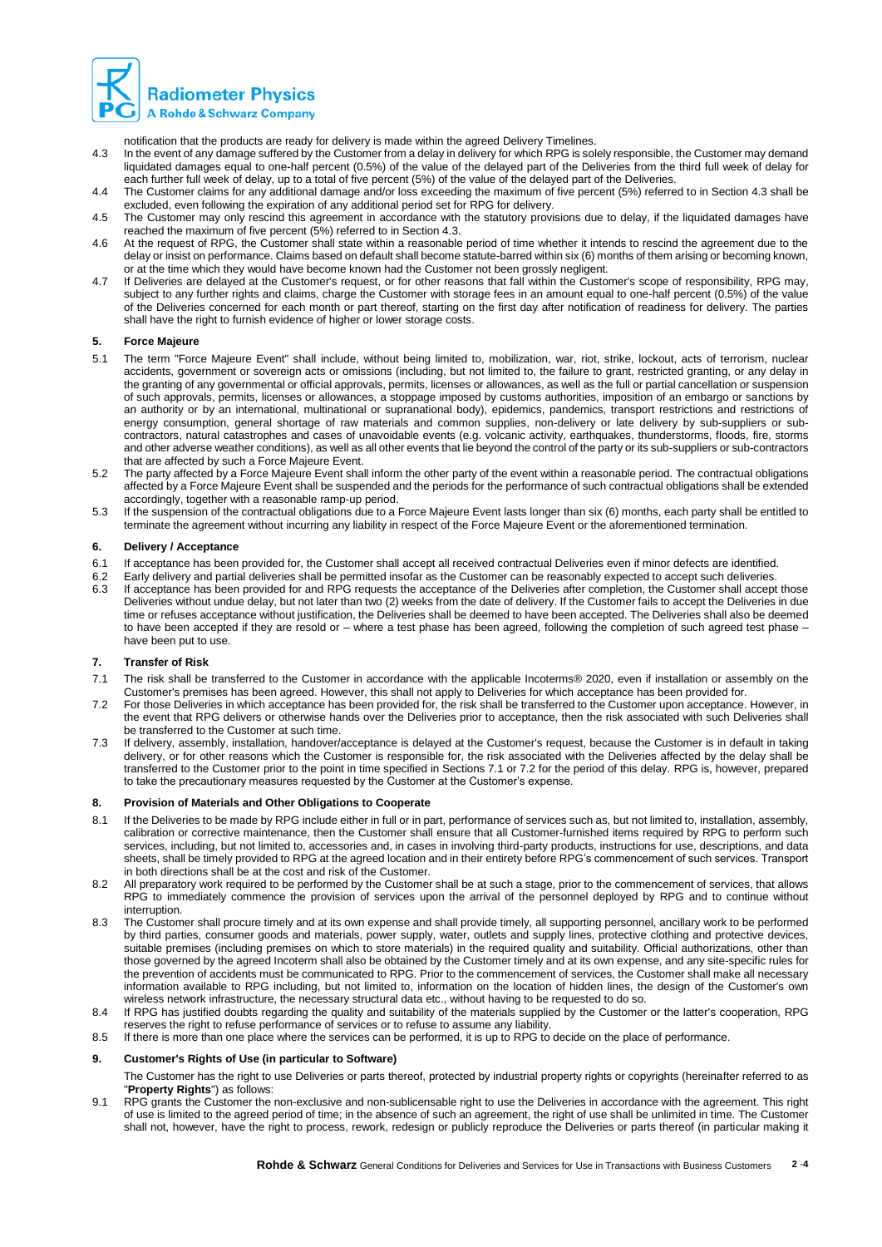

notification that the products are ready for delivery is made within the agreed Delivery Timelines.

- 4.3 In the event of any damage suffered by the Customer from a delay in delivery for which RPG is solely responsible, the Customer may demand liquidated damages equal to one-half percent (0.5%) of the value of the delayed part of the Deliveries from the third full week of delay for each further full week of delay, up to a total of five percent (5%) of the value of the delayed part of the Deliveries.
- 4.4 The Customer claims for any additional damage and/or loss exceeding the maximum of five percent (5%) referred to in Section 4.3 shall be excluded, even following the expiration of any additional period set for RPG for delivery.
- 4.5 The Customer may only rescind this agreement in accordance with the statutory provisions due to delay, if the liquidated damages have reached the maximum of five percent (5%) referred to in Section 4.3.
- 4.6 At the request of RPG, the Customer shall state within a reasonable period of time whether it intends to rescind the agreement due to the delay or insist on performance. Claims based on default shall become statute-barred within six (6) months of them arising or becoming known, or at the time which they would have become known had the Customer not been grossly negligent.
- 4.7 If Deliveries are delayed at the Customer's request, or for other reasons that fall within the Customer's scope of responsibility, RPG may, subject to any further rights and claims, charge the Customer with storage fees in an amount equal to one-half percent (0.5%) of the value of the Deliveries concerned for each month or part thereof, starting on the first day after notification of readiness for delivery. The parties shall have the right to furnish evidence of higher or lower storage costs.

#### **5. Force Majeure**

- 5.1 The term "Force Majeure Event" shall include, without being limited to, mobilization, war, riot, strike, lockout, acts of terrorism, nuclear accidents, government or sovereign acts or omissions (including, but not limited to, the failure to grant, restricted granting, or any delay in the granting of any governmental or official approvals, permits, licenses or allowances, as well as the full or partial cancellation or suspension of such approvals, permits, licenses or allowances, a stoppage imposed by customs authorities, imposition of an embargo or sanctions by an authority or by an international, multinational or supranational body), epidemics, pandemics, transport restrictions and restrictions of energy consumption, general shortage of raw materials and common supplies, non-delivery or late delivery by sub-suppliers or subcontractors, natural catastrophes and cases of unavoidable events (e.g. volcanic activity, earthquakes, thunderstorms, floods, fire, storms and other adverse weather conditions), as well as all other events that lie beyond the control of the party or its sub-suppliers or sub-contractors that are affected by such a Force Majeure Event.
- 5.2 The party affected by a Force Majeure Event shall inform the other party of the event within a reasonable period. The contractual obligations affected by a Force Majeure Event shall be suspended and the periods for the performance of such contractual obligations shall be extended accordingly, together with a reasonable ramp-up period.
- 5.3 If the suspension of the contractual obligations due to a Force Majeure Event lasts longer than six (6) months, each party shall be entitled to terminate the agreement without incurring any liability in respect of the Force Majeure Event or the aforementioned termination.

#### **6. Delivery / Acceptance**

- 6.1 If acceptance has been provided for, the Customer shall accept all received contractual Deliveries even if minor defects are identified.
- 6.2 Early delivery and partial deliveries shall be permitted insofar as the Customer can be reasonably expected to accept such deliveries.
- If acceptance has been provided for and RPG requests the acceptance of the Deliveries after completion, the Customer shall accept those Deliveries without undue delay, but not later than two (2) weeks from the date of delivery. If the Customer fails to accept the Deliveries in due time or refuses acceptance without justification, the Deliveries shall be deemed to have been accepted. The Deliveries shall also be deemed to have been accepted if they are resold or – where a test phase has been agreed, following the completion of such agreed test phase – have been put to use.

#### **7. Transfer of Risk**

- 7.1 The risk shall be transferred to the Customer in accordance with the applicable Incoterms® 2020, even if installation or assembly on the Customer's premises has been agreed. However, this shall not apply to Deliveries for which acceptance has been provided for.
- 7.2 For those Deliveries in which acceptance has been provided for, the risk shall be transferred to the Customer upon acceptance. However, in the event that RPG delivers or otherwise hands over the Deliveries prior to acceptance, then the risk associated with such Deliveries shall be transferred to the Customer at such time.
- 7.3 If delivery, assembly, installation, handover/acceptance is delayed at the Customer's request, because the Customer is in default in taking delivery, or for other reasons which the Customer is responsible for, the risk associated with the Deliveries affected by the delay shall be transferred to the Customer prior to the point in time specified in Sections 7.1 or 7.2 for the period of this delay. RPG is, however, prepared to take the precautionary measures requested by the Customer at the Customer's expense.

## **8. Provision of Materials and Other Obligations to Cooperate**

- 8.1 If the Deliveries to be made by RPG include either in full or in part, performance of services such as, but not limited to, installation, assembly, calibration or corrective maintenance, then the Customer shall ensure that all Customer-furnished items required by RPG to perform such services, including, but not limited to, accessories and, in cases in involving third-party products, instructions for use, descriptions, and data sheets, shall be timely provided to RPG at the agreed location and in their entirety before RPG's commencement of such services. Transport in both directions shall be at the cost and risk of the Customer.
- 8.2 All preparatory work required to be performed by the Customer shall be at such a stage, prior to the commencement of services, that allows RPG to immediately commence the provision of services upon the arrival of the personnel deployed by RPG and to continue without interruption.
- 8.3 The Customer shall procure timely and at its own expense and shall provide timely, all supporting personnel, ancillary work to be performed by third parties, consumer goods and materials, power supply, water, outlets and supply lines, protective clothing and protective devices, suitable premises (including premises on which to store materials) in the required quality and suitability. Official authorizations, other than those governed by the agreed Incoterm shall also be obtained by the Customer timely and at its own expense, and any site-specific rules for the prevention of accidents must be communicated to RPG. Prior to the commencement of services, the Customer shall make all necessary information available to RPG including, but not limited to, information on the location of hidden lines, the design of the Customer's own wireless network infrastructure, the necessary structural data etc., without having to be requested to do so.
- 8.4 If RPG has justified doubts regarding the quality and suitability of the materials supplied by the Customer or the latter's cooperation, RPG reserves the right to refuse performance of services or to refuse to assume any liability.
- 8.5 If there is more than one place where the services can be performed, it is up to RPG to decide on the place of performance.

#### **9. Customer's Rights of Use (in particular to Software)**

The Customer has the right to use Deliveries or parts thereof, protected by industrial property rights or copyrights (hereinafter referred to as "**Property Rights**") as follows:

9.1 RPG grants the Customer the non-exclusive and non-sublicensable right to use the Deliveries in accordance with the agreement. This right of use is limited to the agreed period of time; in the absence of such an agreement, the right of use shall be unlimited in time. The Customer shall not, however, have the right to process, rework, redesign or publicly reproduce the Deliveries or parts thereof (in particular making it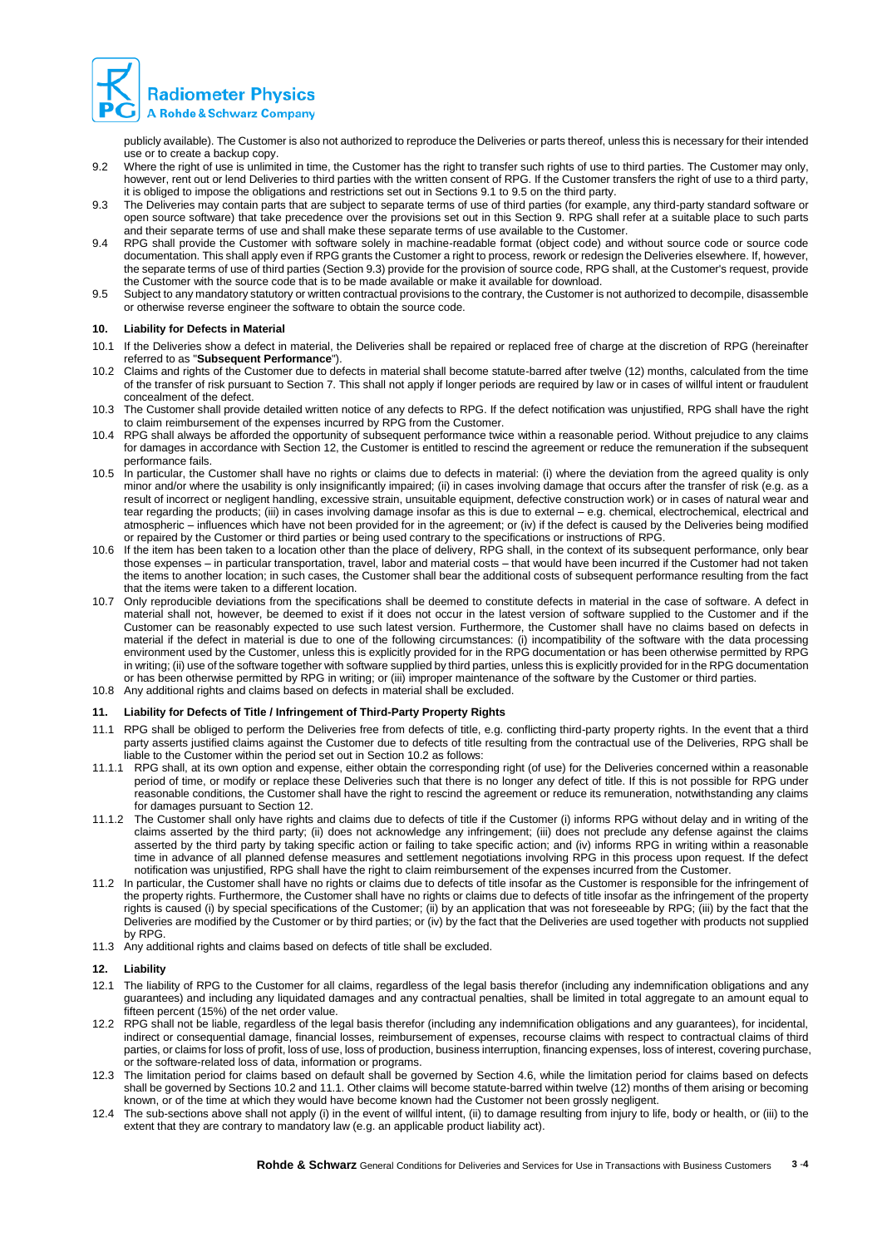

publicly available). The Customer is also not authorized to reproduce the Deliveries or parts thereof, unless this is necessary for their intended use or to create a backup copy.

- 9.2 Where the right of use is unlimited in time, the Customer has the right to transfer such rights of use to third parties. The Customer may only, however, rent out or lend Deliveries to third parties with the written consent of RPG. If the Customer transfers the right of use to a third party, it is obliged to impose the obligations and restrictions set out in Sections 9.1 to 9.5 on the third party.
- 9.3 The Deliveries may contain parts that are subject to separate terms of use of third parties (for example, any third-party standard software or open source software) that take precedence over the provisions set out in this Section 9. RPG shall refer at a suitable place to such parts and their separate terms of use and shall make these separate terms of use available to the Customer.
- 9.4 RPG shall provide the Customer with software solely in machine-readable format (object code) and without source code or source code documentation. This shall apply even if RPG grants the Customer a right to process, rework or redesign the Deliveries elsewhere. If, however, the separate terms of use of third parties (Section 9.3) provide for the provision of source code, RPG shall, at the Customer's request, provide the Customer with the source code that is to be made available or make it available for download.
- 9.5 Subject to any mandatory statutory or written contractual provisions to the contrary, the Customer is not authorized to decompile, disassemble or otherwise reverse engineer the software to obtain the source code.

#### **10. Liability for Defects in Material**

- 10.1 If the Deliveries show a defect in material, the Deliveries shall be repaired or replaced free of charge at the discretion of RPG (hereinafter referred to as "**Subsequent Performance**").
- 10.2 Claims and rights of the Customer due to defects in material shall become statute-barred after twelve (12) months, calculated from the time of the transfer of risk pursuant to Section 7. This shall not apply if longer periods are required by law or in cases of willful intent or fraudulent concealment of the defect.
- 10.3 The Customer shall provide detailed written notice of any defects to RPG. If the defect notification was unjustified, RPG shall have the right to claim reimbursement of the expenses incurred by RPG from the Customer.
- 10.4 RPG shall always be afforded the opportunity of subsequent performance twice within a reasonable period. Without prejudice to any claims for damages in accordance with Section 12, the Customer is entitled to rescind the agreement or reduce the remuneration if the subsequent performance fails.
- 10.5 In particular, the Customer shall have no rights or claims due to defects in material: (i) where the deviation from the agreed quality is only minor and/or where the usability is only insignificantly impaired; (ii) in cases involving damage that occurs after the transfer of risk (e.g. as a result of incorrect or negligent handling, excessive strain, unsuitable equipment, defective construction work) or in cases of natural wear and tear regarding the products; (iii) in cases involving damage insofar as this is due to external – e.g. chemical, electrochemical, electrical and atmospheric – influences which have not been provided for in the agreement; or (iv) if the defect is caused by the Deliveries being modified or repaired by the Customer or third parties or being used contrary to the specifications or instructions of RPG.
- 10.6 If the item has been taken to a location other than the place of delivery, RPG shall, in the context of its subsequent performance, only bear those expenses – in particular transportation, travel, labor and material costs – that would have been incurred if the Customer had not taken the items to another location; in such cases, the Customer shall bear the additional costs of subsequent performance resulting from the fact that the items were taken to a different location.
- 10.7 Only reproducible deviations from the specifications shall be deemed to constitute defects in material in the case of software. A defect in material shall not, however, be deemed to exist if it does not occur in the latest version of software supplied to the Customer and if the Customer can be reasonably expected to use such latest version. Furthermore, the Customer shall have no claims based on defects in material if the defect in material is due to one of the following circumstances: (i) incompatibility of the software with the data processing environment used by the Customer, unless this is explicitly provided for in the RPG documentation or has been otherwise permitted by RPG in writing; (ii) use of the software together with software supplied by third parties, unless this is explicitly provided for in the RPG documentation or has been otherwise permitted by RPG in writing; or (iii) improper maintenance of the software by the Customer or third parties.
- 10.8 Any additional rights and claims based on defects in material shall be excluded.

#### **11. Liability for Defects of Title / Infringement of Third-Party Property Rights**

- 11.1 RPG shall be obliged to perform the Deliveries free from defects of title, e.g. conflicting third-party property rights. In the event that a third party asserts justified claims against the Customer due to defects of title resulting from the contractual use of the Deliveries, RPG shall be liable to the Customer within the period set out in Section 10.2 as follows:
- 11.1.1 RPG shall, at its own option and expense, either obtain the corresponding right (of use) for the Deliveries concerned within a reasonable period of time, or modify or replace these Deliveries such that there is no longer any defect of title. If this is not possible for RPG under reasonable conditions, the Customer shall have the right to rescind the agreement or reduce its remuneration, notwithstanding any claims for damages pursuant to Section 12.
- 11.1.2 The Customer shall only have rights and claims due to defects of title if the Customer (i) informs RPG without delay and in writing of the claims asserted by the third party; (ii) does not acknowledge any infringement; (iii) does not preclude any defense against the claims asserted by the third party by taking specific action or failing to take specific action; and (iv) informs RPG in writing within a reasonable time in advance of all planned defense measures and settlement negotiations involving RPG in this process upon request. If the defect notification was unjustified, RPG shall have the right to claim reimbursement of the expenses incurred from the Customer.
- 11.2 In particular, the Customer shall have no rights or claims due to defects of title insofar as the Customer is responsible for the infringement of the property rights. Furthermore, the Customer shall have no rights or claims due to defects of title insofar as the infringement of the property rights is caused (i) by special specifications of the Customer; (ii) by an application that was not foreseeable by RPG; (iii) by the fact that the Deliveries are modified by the Customer or by third parties; or (iv) by the fact that the Deliveries are used together with products not supplied by RPG.
- 11.3 Any additional rights and claims based on defects of title shall be excluded.

#### **12. Liability**

- 12.1 The liability of RPG to the Customer for all claims, regardless of the legal basis therefor (including any indemnification obligations and any guarantees) and including any liquidated damages and any contractual penalties, shall be limited in total aggregate to an amount equal to fifteen percent (15%) of the net order value.
- 12.2 RPG shall not be liable, regardless of the legal basis therefor (including any indemnification obligations and any guarantees), for incidental, indirect or consequential damage, financial losses, reimbursement of expenses, recourse claims with respect to contractual claims of third parties, or claims for loss of profit, loss of use, loss of production, business interruption, financing expenses, loss of interest, covering purchase, or the software-related loss of data, information or programs.
- 12.3 The limitation period for claims based on default shall be governed by Section 4.6, while the limitation period for claims based on defects shall be governed by Sections 10.2 and 11.1. Other claims will become statute-barred within twelve (12) months of them arising or becoming known, or of the time at which they would have become known had the Customer not been grossly negligent.
- 12.4 The sub-sections above shall not apply (i) in the event of willful intent, (ii) to damage resulting from injury to life, body or health, or (iii) to the extent that they are contrary to mandatory law (e.g. an applicable product liability act).